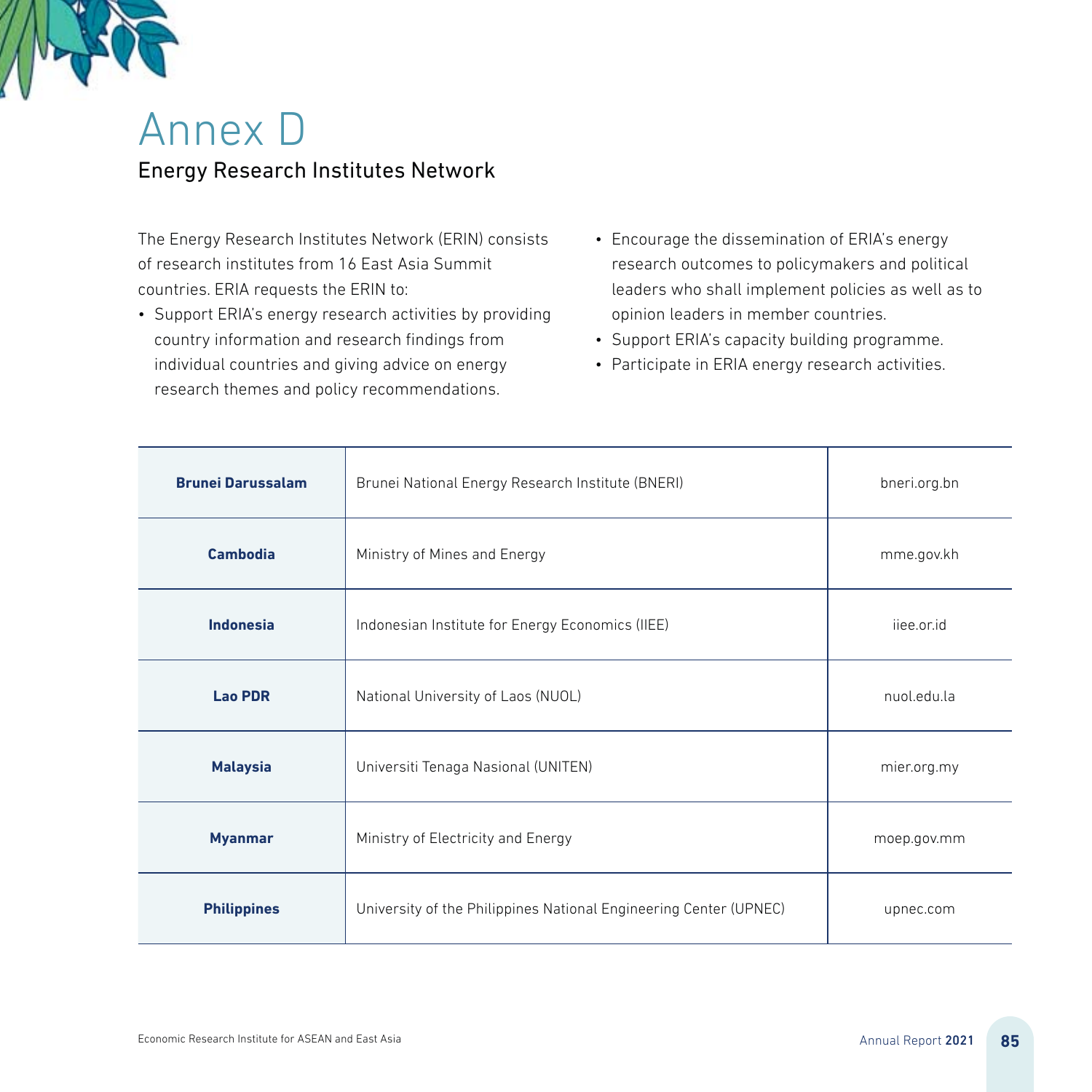

## Annex D Energy Research Institutes Network

The Energy Research Institutes Network (ERIN) consists of research institutes from 16 East Asia Summit countries. ERIA requests the ERIN to:

- Support ERIA's energy research activities by providing country information and research findings from individual countries and giving advice on energy research themes and policy recommendations.
- Encourage the dissemination of ERIA's energy research outcomes to policymakers and political leaders who shall implement policies as well as to opinion leaders in member countries.
- Support ERIA's capacity building programme.
- Participate in ERIA energy research activities.

| <b>Brunei Darussalam</b> | Brunei National Energy Research Institute (BNERI)                 | bneri.org.bn |
|--------------------------|-------------------------------------------------------------------|--------------|
| Cambodia                 | Ministry of Mines and Energy                                      | mme.gov.kh   |
| Indonesia                | Indonesian Institute for Energy Economics (IIEE)                  | ijee.or.id   |
| <b>Lao PDR</b>           | National University of Laos (NUOL)                                | nuol.edu.la  |
| <b>Malaysia</b>          | Universiti Tenaga Nasional (UNITEN)                               | mier.org.my  |
| <b>Myanmar</b>           | Ministry of Electricity and Energy                                | moep.gov.mm  |
| <b>Philippines</b>       | University of the Philippines National Engineering Center (UPNEC) | upnec.com    |